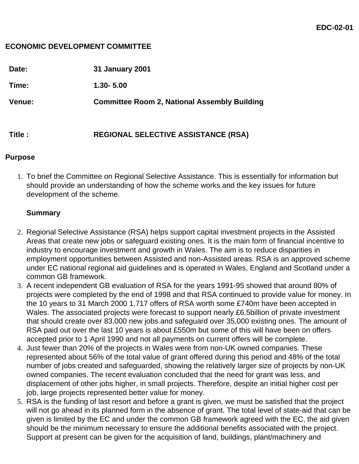#### **ECONOMIC DEVELOPMENT COMMITTEE**

| Date:         | <b>31 January 2001</b>                              |
|---------------|-----------------------------------------------------|
| Time:         | $1.30 - 5.00$                                       |
| <b>Venue:</b> | <b>Committee Room 2, National Assembly Building</b> |
| Title :       | <b>REGIONAL SELECTIVE ASSISTANCE (RSA)</b>          |

#### **Purpose**

1. To brief the Committee on Regional Selective Assistance. This is essentially for information but should provide an understanding of how the scheme works and the key issues for future development of the scheme.

### **Summary**

- 2. Regional Selective Assistance (RSA) helps support capital investment projects in the Assisted Areas that create new jobs or safeguard existing ones. It is the main form of financial incentive to industry to encourage investment and growth in Wales. The aim is to reduce disparities in employment opportunities between Assisted and non-Assisted areas. RSA is an approved scheme under EC national regional aid guidelines and is operated in Wales, England and Scotland under a common GB framework.
- 3. A recent independent GB evaluation of RSA for the years 1991-95 showed that around 80% of projects were completed by the end of 1998 and that RSA continued to provide value for money. In the 10 years to 31 March 2000 1,717 offers of RSA worth some £740m have been accepted in Wales. The associated projects were forecast to support nearly £6.5billion of private investment that should create over 83,000 new jobs and safeguard over 35,000 existing ones. The amount of RSA paid out over the last 10 years is about £550m but some of this will have been on offers accepted prior to 1 April 1990 and not all payments on current offers will be complete.
- 4. Just fewer than 20% of the projects in Wales were from non-UK owned companies. These represented about 56% of the total value of grant offered during this period and 48% of the total number of jobs created and safeguarded, showing the relatively larger size of projects by non-UK owned companies. The recent evaluation concluded that the need for grant was less, and displacement of other jobs higher, in small projects. Therefore, despite an initial higher cost per job, large projects represented better value for money.
- 5. RSA is the funding of last resort and before a grant is given, we must be satisfied that the project will not go ahead in its planned form in the absence of grant. The total level of state-aid that can be given is limited by the EC and under the common GB framework agreed with the EC, the aid given should be the minimum necessary to ensure the additional benefits associated with the project. Support at present can be given for the acquisition of land, buildings, plant/machinery and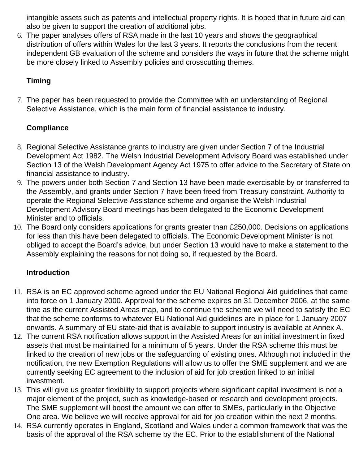intangible assets such as patents and intellectual property rights. It is hoped that in future aid can also be given to support the creation of additional jobs.

6. The paper analyses offers of RSA made in the last 10 years and shows the geographical distribution of offers within Wales for the last 3 years. It reports the conclusions from the recent independent GB evaluation of the scheme and considers the ways in future that the scheme might be more closely linked to Assembly policies and crosscutting themes.

# **Timing**

7. The paper has been requested to provide the Committee with an understanding of Regional Selective Assistance, which is the main form of financial assistance to industry.

# **Compliance**

- 8. Regional Selective Assistance grants to industry are given under Section 7 of the Industrial Development Act 1982. The Welsh Industrial Development Advisory Board was established under Section 13 of the Welsh Development Agency Act 1975 to offer advice to the Secretary of State on financial assistance to industry.
- 9. The powers under both Section 7 and Section 13 have been made exercisable by or transferred to the Assembly, and grants under Section 7 have been freed from Treasury constraint. Authority to operate the Regional Selective Assistance scheme and organise the Welsh Industrial Development Advisory Board meetings has been delegated to the Economic Development Minister and to officials.
- 10. The Board only considers applications for grants greater than £250,000. Decisions on applications for less than this have been delegated to officials. The Economic Development Minister is not obliged to accept the Board's advice, but under Section 13 would have to make a statement to the Assembly explaining the reasons for not doing so, if requested by the Board.

# **Introduction**

- 11. RSA is an EC approved scheme agreed under the EU National Regional Aid guidelines that came into force on 1 January 2000. Approval for the scheme expires on 31 December 2006, at the same time as the current Assisted Areas map, and to continue the scheme we will need to satisfy the EC that the scheme conforms to whatever EU National Aid guidelines are in place for 1 January 2007 onwards. A summary of EU state-aid that is available to support industry is available at Annex A.
- 12. The current RSA notification allows support in the Assisted Areas for an initial investment in fixed assets that must be maintained for a minimum of 5 years. Under the RSA scheme this must be linked to the creation of new jobs or the safeguarding of existing ones. Although not included in the notification, the new Exemption Regulations will allow us to offer the SME supplement and we are currently seeking EC agreement to the inclusion of aid for job creation linked to an initial investment.
- 13. This will give us greater flexibility to support projects where significant capital investment is not a major element of the project, such as knowledge-based or research and development projects. The SME supplement will boost the amount we can offer to SMEs, particularly in the Objective One area. We believe we will receive approval for aid for job creation within the next 2 months.
- 14. RSA currently operates in England, Scotland and Wales under a common framework that was the basis of the approval of the RSA scheme by the EC. Prior to the establishment of the National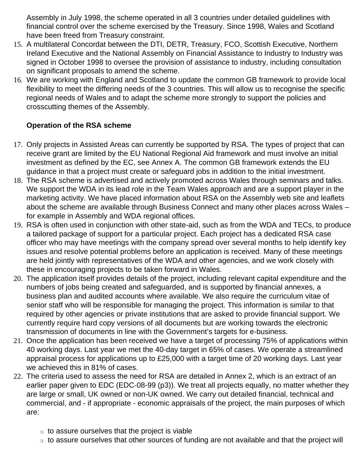Assembly in July 1998, the scheme operated in all 3 countries under detailed guidelines with financial control over the scheme exercised by the Treasury. Since 1998, Wales and Scotland have been freed from Treasury constraint.

- 15. A multilateral Concordat between the DTI, DETR, Treasury, FCO, Scottish Executive, Northern Ireland Executive and the National Assembly on Financial Assistance to Industry to Industry was signed in October 1998 to oversee the provision of assistance to industry, including consultation on significant proposals to amend the scheme.
- 16. We are working with England and Scotland to update the common GB framework to provide local flexibility to meet the differing needs of the 3 countries. This will allow us to recognise the specific regional needs of Wales and to adapt the scheme more strongly to support the policies and crosscutting themes of the Assembly.

# **Operation of the RSA scheme**

- 17. Only projects in Assisted Areas can currently be supported by RSA. The types of project that can receive grant are limited by the EU National Regional Aid framework and must involve an initial investment as defined by the EC, see Annex A. The common GB framework extends the EU guidance in that a project must create or safeguard jobs in addition to the initial investment.
- 18. The RSA scheme is advertised and actively promoted across Wales through seminars and talks. We support the WDA in its lead role in the Team Wales approach and are a support player in the marketing activity. We have placed information about RSA on the Assembly web site and leaflets about the scheme are available through Business Connect and many other places across Wales – for example in Assembly and WDA regional offices.
- 19. RSA is often used in conjunction with other state-aid, such as from the WDA and TECs, to produce a tailored package of support for a particular project. Each project has a dedicated RSA case officer who may have meetings with the company spread over several months to help identify key issues and resolve potential problems before an application is received. Many of these meetings are held jointly with representatives of the WDA and other agencies, and we work closely with these in encouraging projects to be taken forward in Wales.
- 20. The application itself provides details of the project, including relevant capital expenditure and the numbers of jobs being created and safeguarded, and is supported by financial annexes, a business plan and audited accounts where available. We also require the curriculum vitae of senior staff who will be responsible for managing the project. This information is similar to that required by other agencies or private institutions that are asked to provide financial support. We currently require hard copy versions of all documents but are working towards the electronic transmission of documents in line with the Government's targets for e-business.
- 21. Once the application has been received we have a target of processing 75% of applications within 40 working days. Last year we met the 40-day target in 65% of cases. We operate a streamlined appraisal process for applications up to £25,000 with a target time of 20 working days. Last year we achieved this in 81% of cases.
- 22. The criteria used to assess the need for RSA are detailed in Annex 2, which is an extract of an earlier paper given to EDC (EDC-08-99 (p3)). We treat all projects equally, no matter whether they are large or small, UK owned or non-UK owned. We carry out detailed financial, technical and commercial, and - if appropriate - economic appraisals of the project, the main purposes of which are:
	- $\circ$  to assure ourselves that the project is viable
	- $\circ$  to assure ourselves that other sources of funding are not available and that the project will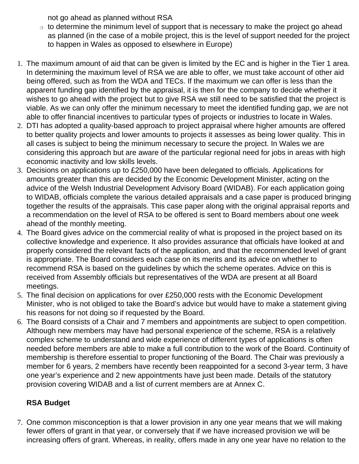not go ahead as planned without RSA

- ❍ to determine the minimum level of support that is necessary to make the project go ahead as planned (in the case of a mobile project, this is the level of support needed for the project to happen in Wales as opposed to elsewhere in Europe)
- 1. The maximum amount of aid that can be given is limited by the EC and is higher in the Tier 1 area. In determining the maximum level of RSA we are able to offer, we must take account of other aid being offered, such as from the WDA and TECs. If the maximum we can offer is less than the apparent funding gap identified by the appraisal, it is then for the company to decide whether it wishes to go ahead with the project but to give RSA we still need to be satisfied that the project is viable. As we can only offer the minimum necessary to meet the identified funding gap, we are not able to offer financial incentives to particular types of projects or industries to locate in Wales.
- 2. DTI has adopted a quality-based approach to project appraisal where higher amounts are offered to better quality projects and lower amounts to projects it assesses as being lower quality. This in all cases is subject to being the minimum necessary to secure the project. In Wales we are considering this approach but are aware of the particular regional need for jobs in areas with high economic inactivity and low skills levels.
- 3. Decisions on applications up to £250,000 have been delegated to officials. Applications for amounts greater than this are decided by the Economic Development Minister, acting on the advice of the Welsh Industrial Development Advisory Board (WIDAB). For each application going to WIDAB, officials complete the various detailed appraisals and a case paper is produced bringing together the results of the appraisals. This case paper along with the original appraisal reports and a recommendation on the level of RSA to be offered is sent to Board members about one week ahead of the monthly meeting.
- 4. The Board gives advice on the commercial reality of what is proposed in the project based on its collective knowledge and experience. It also provides assurance that officials have looked at and properly considered the relevant facts of the application, and that the recommended level of grant is appropriate. The Board considers each case on its merits and its advice on whether to recommend RSA is based on the guidelines by which the scheme operates. Advice on this is received from Assembly officials but representatives of the WDA are present at all Board meetings.
- 5. The final decision on applications for over £250,000 rests with the Economic Development Minister, who is not obliged to take the Board's advice but would have to make a statement giving his reasons for not doing so if requested by the Board.
- 6. The Board consists of a Chair and 7 members and appointments are subject to open competition. Although new members may have had personal experience of the scheme, RSA is a relatively complex scheme to understand and wide experience of different types of applications is often needed before members are able to make a full contribution to the work of the Board. Continuity of membership is therefore essential to proper functioning of the Board. The Chair was previously a member for 6 years, 2 members have recently been reappointed for a second 3-year term, 3 have one year's experience and 2 new appointments have just been made. Details of the statutory provision covering WIDAB and a list of current members are at Annex C.

# **RSA Budget**

7. One common misconception is that a lower provision in any one year means that we will making fewer offers of grant in that year, or conversely that if we have increased provision we will be increasing offers of grant. Whereas, in reality, offers made in any one year have no relation to the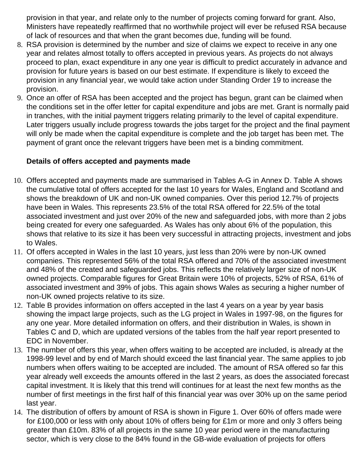provision in that year, and relate only to the number of projects coming forward for grant. Also, Ministers have repeatedly reaffirmed that no worthwhile project will ever be refused RSA because of lack of resources and that when the grant becomes due, funding will be found.

- 8. RSA provision is determined by the number and size of claims we expect to receive in any one year and relates almost totally to offers accepted in previous years. As projects do not always proceed to plan, exact expenditure in any one year is difficult to predict accurately in advance and provision for future years is based on our best estimate. If expenditure is likely to exceed the provision in any financial year, we would take action under Standing Order 19 to increase the provision.
- 9. Once an offer of RSA has been accepted and the project has begun, grant can be claimed when the conditions set in the offer letter for capital expenditure and jobs are met. Grant is normally paid in tranches, with the initial payment triggers relating primarily to the level of capital expenditure. Later triggers usually include progress towards the jobs target for the project and the final payment will only be made when the capital expenditure is complete and the job target has been met. The payment of grant once the relevant triggers have been met is a binding commitment.

## **Details of offers accepted and payments made**

- 10. Offers accepted and payments made are summarised in Tables A-G in Annex D. Table A shows the cumulative total of offers accepted for the last 10 years for Wales, England and Scotland and shows the breakdown of UK and non-UK owned companies. Over this period 12.7% of projects have been in Wales. This represents 23.5% of the total RSA offered for 22.5% of the total associated investment and just over 20% of the new and safeguarded jobs, with more than 2 jobs being created for every one safeguarded. As Wales has only about 6% of the population, this shows that relative to its size it has been very successful in attracting projects, investment and jobs to Wales.
- 11. Of offers accepted in Wales in the last 10 years, just less than 20% were by non-UK owned companies. This represented 56% of the total RSA offered and 70% of the associated investment and 48% of the created and safeguarded jobs. This reflects the relatively larger size of non-UK owned projects. Comparable figures for Great Britain were 10% of projects, 52% of RSA, 61% of associated investment and 39% of jobs. This again shows Wales as securing a higher number of non-UK owned projects relative to its size.
- 12. Table B provides information on offers accepted in the last 4 years on a year by year basis showing the impact large projects, such as the LG project in Wales in 1997-98, on the figures for any one year. More detailed information on offers, and their distribution in Wales, is shown in Tables C and D, which are updated versions of the tables from the half year report presented to EDC in November.
- 13. The number of offers this year, when offers waiting to be accepted are included, is already at the 1998-99 level and by end of March should exceed the last financial year. The same applies to job numbers when offers waiting to be accepted are included. The amount of RSA offered so far this year already well exceeds the amounts offered in the last 2 years, as does the associated forecast capital investment. It is likely that this trend will continues for at least the next few months as the number of first meetings in the first half of this financial year was over 30% up on the same period last year.
- 14. The distribution of offers by amount of RSA is shown in Figure 1. Over 60% of offers made were for £100,000 or less with only about 10% of offers being for £1m or more and only 3 offers being greater than £10m. 83% of all projects in the same 10 year period were in the manufacturing sector, which is very close to the 84% found in the GB-wide evaluation of projects for offers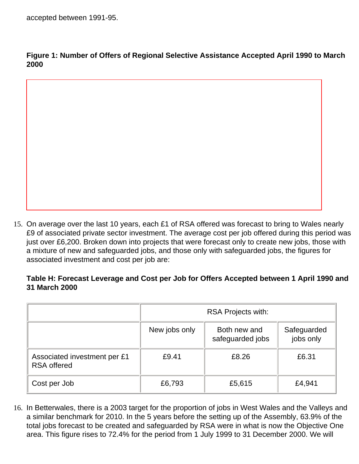**Figure 1: Number of Offers of Regional Selective Assistance Accepted April 1990 to March 2000**



15. On average over the last 10 years, each £1 of RSA offered was forecast to bring to Wales nearly £9 of associated private sector investment. The average cost per job offered during this period was just over £6,200. Broken down into projects that were forecast only to create new jobs, those with a mixture of new and safeguarded jobs, and those only with safeguarded jobs, the figures for associated investment and cost per job are:

#### **Table H: Forecast Leverage and Cost per Job for Offers Accepted between 1 April 1990 and 31 March 2000**

|                                                    | <b>RSA Projects with:</b> |                                  |                          |  |  |
|----------------------------------------------------|---------------------------|----------------------------------|--------------------------|--|--|
|                                                    | New jobs only             | Both new and<br>safeguarded jobs | Safeguarded<br>jobs only |  |  |
| Associated investment per £1<br><b>RSA</b> offered | £9.41                     | £8.26                            | £6.31                    |  |  |
| Cost per Job                                       | £6,793                    | £5,615                           | £4,941                   |  |  |

16. In Betterwales, there is a 2003 target for the proportion of jobs in West Wales and the Valleys and a similar benchmark for 2010. In the 5 years before the setting up of the Assembly, 63.9% of the total jobs forecast to be created and safeguarded by RSA were in what is now the Objective One area. This figure rises to 72.4% for the period from 1 July 1999 to 31 December 2000. We will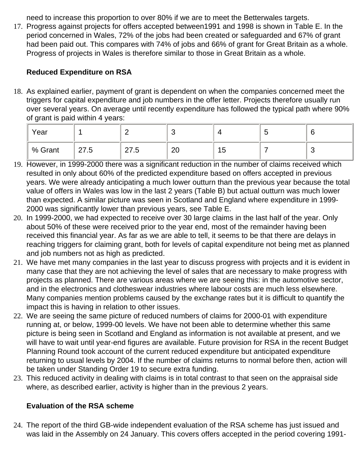need to increase this proportion to over 80% if we are to meet the Betterwales targets.

17. Progress against projects for offers accepted between1991 and 1998 is shown in Table E. In the period concerned in Wales, 72% of the jobs had been created or safeguarded and 67% of grant had been paid out. This compares with 74% of jobs and 66% of grant for Great Britain as a whole. Progress of projects in Wales is therefore similar to those in Great Britain as a whole.

# **Reduced Expenditure on RSA**

18. As explained earlier, payment of grant is dependent on when the companies concerned meet the triggers for capital expenditure and job numbers in the offer letter. Projects therefore usually run over several years. On average until recently expenditure has followed the typical path where 90% of grant is paid within 4 years:

| Year      |                    | <u>_</u>         |          |    | -<br>ັ |  |
|-----------|--------------------|------------------|----------|----|--------|--|
| ∣ % Grant | 27E<br>∽<br>ن. ا ∠ | 77<br>∽<br>ن ، ے | ററ<br>∠∪ | 15 |        |  |

- 19. However, in 1999-2000 there was a significant reduction in the number of claims received which resulted in only about 60% of the predicted expenditure based on offers accepted in previous years. We were already anticipating a much lower outturn than the previous year because the total value of offers in Wales was low in the last 2 years (Table B) but actual outturn was much lower than expected. A similar picture was seen in Scotland and England where expenditure in 1999- 2000 was significantly lower than previous years, see Table E.
- 20. In 1999-2000, we had expected to receive over 30 large claims in the last half of the year. Only about 50% of these were received prior to the year end, most of the remainder having been received this financial year. As far as we are able to tell, it seems to be that there are delays in reaching triggers for claiming grant, both for levels of capital expenditure not being met as planned and job numbers not as high as predicted.
- 21. We have met many companies in the last year to discuss progress with projects and it is evident in many case that they are not achieving the level of sales that are necessary to make progress with projects as planned. There are various areas where we are seeing this: in the automotive sector, and in the electronics and clotheswear industries where labour costs are much less elsewhere. Many companies mention problems caused by the exchange rates but it is difficult to quantify the impact this is having in relation to other issues.
- 22. We are seeing the same picture of reduced numbers of claims for 2000-01 with expenditure running at, or below, 1999-00 levels. We have not been able to determine whether this same picture is being seen in Scotland and England as information is not available at present, and we will have to wait until year-end figures are available. Future provision for RSA in the recent Budget Planning Round took account of the current reduced expenditure but anticipated expenditure returning to usual levels by 2004. If the number of claims returns to normal before then, action will be taken under Standing Order 19 to secure extra funding.
- 23. This reduced activity in dealing with claims is in total contrast to that seen on the appraisal side where, as described earlier, activity is higher than in the previous 2 years.

# **Evaluation of the RSA scheme**

24. The report of the third GB-wide independent evaluation of the RSA scheme has just issued and was laid in the Assembly on 24 January. This covers offers accepted in the period covering 1991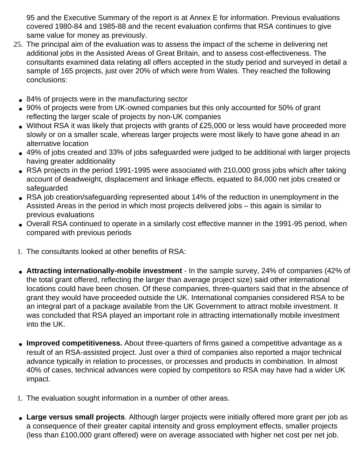95 and the Executive Summary of the report is at Annex E for information. Previous evaluations covered 1980-84 and 1985-88 and the recent evaluation confirms that RSA continues to give same value for money as previously.

- 25. The principal aim of the evaluation was to assess the impact of the scheme in delivering net additional jobs in the Assisted Areas of Great Britain, and to assess cost-effectiveness. The consultants examined data relating all offers accepted in the study period and surveyed in detail a sample of 165 projects, just over 20% of which were from Wales. They reached the following conclusions:
	- 84% of projects were in the manufacturing sector
	- 90% of projects were from UK-owned companies but this only accounted for 50% of grant reflecting the larger scale of projects by non-UK companies
	- Without RSA it was likely that projects with grants of £25,000 or less would have proceeded more slowly or on a smaller scale, whereas larger projects were most likely to have gone ahead in an alternative location
	- 49% of jobs created and 33% of jobs safeguarded were judged to be additional with larger projects having greater additionality
	- RSA projects in the period 1991-1995 were associated with 210,000 gross jobs which after taking account of deadweight, displacement and linkage effects, equated to 84,000 net jobs created or safeguarded
	- RSA job creation/safeguarding represented about 14% of the reduction in unemployment in the Assisted Areas in the period in which most projects delivered jobs – this again is similar to previous evaluations
	- Overall RSA continued to operate in a similarly cost effective manner in the 1991-95 period, when compared with previous periods
	- 1. The consultants looked at other benefits of RSA:
	- **Attracting internationally-mobile investment** In the sample survey, 24% of companies (42% of the total grant offered, reflecting the larger than average project size) said other international locations could have been chosen. Of these companies, three-quarters said that in the absence of grant they would have proceeded outside the UK. International companies considered RSA to be an integral part of a package available from the UK Government to attract mobile investment. It was concluded that RSA played an important role in attracting internationally mobile investment into the UK.
	- **Improved competitiveness.** About three-quarters of firms gained a competitive advantage as a result of an RSA-assisted project. Just over a third of companies also reported a major technical advance typically in relation to processes, or processes and products in combination. In almost 40% of cases, technical advances were copied by competitors so RSA may have had a wider UK impact.
	- 1. The evaluation sought information in a number of other areas.
	- Large versus small projects. Although larger projects were initially offered more grant per job as a consequence of their greater capital intensity and gross employment effects, smaller projects (less than £100,000 grant offered) were on average associated with higher net cost per net job.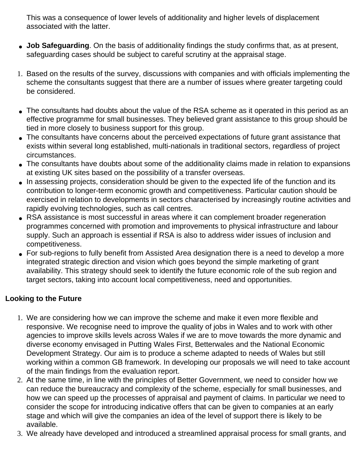This was a consequence of lower levels of additionality and higher levels of displacement associated with the latter.

- **Job Safequarding**. On the basis of additionality findings the study confirms that, as at present, safeguarding cases should be subject to careful scrutiny at the appraisal stage.
- 1. Based on the results of the survey, discussions with companies and with officials implementing the scheme the consultants suggest that there are a number of issues where greater targeting could be considered.
- The consultants had doubts about the value of the RSA scheme as it operated in this period as an effective programme for small businesses. They believed grant assistance to this group should be tied in more closely to business support for this group.
- The consultants have concerns about the perceived expectations of future grant assistance that exists within several long established, multi-nationals in traditional sectors, regardless of project circumstances.
- The consultants have doubts about some of the additionality claims made in relation to expansions at existing UK sites based on the possibility of a transfer overseas.
- In assessing projects, consideration should be given to the expected life of the function and its contribution to longer-term economic growth and competitiveness. Particular caution should be exercised in relation to developments in sectors characterised by increasingly routine activities and rapidly evolving technologies, such as call centres.
- RSA assistance is most successful in areas where it can complement broader regeneration programmes concerned with promotion and improvements to physical infrastructure and labour supply. Such an approach is essential if RSA is also to address wider issues of inclusion and competitiveness.
- For sub-regions to fully benefit from Assisted Area designation there is a need to develop a more integrated strategic direction and vision which goes beyond the simple marketing of grant availability. This strategy should seek to identify the future economic role of the sub region and target sectors, taking into account local competitiveness, need and opportunities.

# **Looking to the Future**

- 1. We are considering how we can improve the scheme and make it even more flexible and responsive. We recognise need to improve the quality of jobs in Wales and to work with other agencies to improve skills levels across Wales if we are to move towards the more dynamic and diverse economy envisaged in Putting Wales First, Betterwales and the National Economic Development Strategy. Our aim is to produce a scheme adapted to needs of Wales but still working within a common GB framework. In developing our proposals we will need to take account of the main findings from the evaluation report.
- 2. At the same time, in line with the principles of Better Government, we need to consider how we can reduce the bureaucracy and complexity of the scheme, especially for small businesses, and how we can speed up the processes of appraisal and payment of claims. In particular we need to consider the scope for introducing indicative offers that can be given to companies at an early stage and which will give the companies an idea of the level of support there is likely to be available.
- 3. We already have developed and introduced a streamlined appraisal process for small grants, and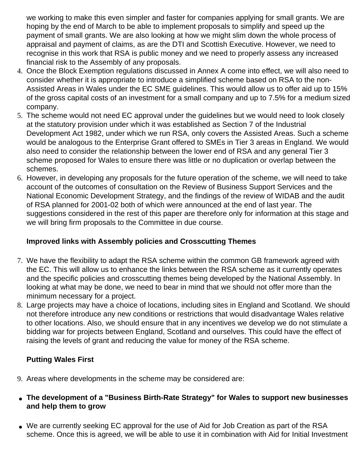we working to make this even simpler and faster for companies applying for small grants. We are hoping by the end of March to be able to implement proposals to simplify and speed up the payment of small grants. We are also looking at how we might slim down the whole process of appraisal and payment of claims, as are the DTI and Scottish Executive. However, we need to recognise in this work that RSA is public money and we need to properly assess any increased financial risk to the Assembly of any proposals.

- 4. Once the Block Exemption regulations discussed in Annex A come into effect, we will also need to consider whether it is appropriate to introduce a simplified scheme based on RSA to the non-Assisted Areas in Wales under the EC SME guidelines. This would allow us to offer aid up to 15% of the gross capital costs of an investment for a small company and up to 7.5% for a medium sized company.
- 5. The scheme would not need EC approval under the guidelines but we would need to look closely at the statutory provision under which it was established as Section 7 of the Industrial Development Act 1982, under which we run RSA, only covers the Assisted Areas. Such a scheme would be analogous to the Enterprise Grant offered to SMEs in Tier 3 areas in England. We would also need to consider the relationship between the lower end of RSA and any general Tier 3 scheme proposed for Wales to ensure there was little or no duplication or overlap between the schemes.
- 6. However, in developing any proposals for the future operation of the scheme, we will need to take account of the outcomes of consultation on the Review of Business Support Services and the National Economic Development Strategy, and the findings of the review of WIDAB and the audit of RSA planned for 2001-02 both of which were announced at the end of last year. The suggestions considered in the rest of this paper are therefore only for information at this stage and we will bring firm proposals to the Committee in due course.

# **Improved links with Assembly policies and Crosscutting Themes**

- 7. We have the flexibility to adapt the RSA scheme within the common GB framework agreed with the EC. This will allow us to enhance the links between the RSA scheme as it currently operates and the specific policies and crosscutting themes being developed by the National Assembly. In looking at what may be done, we need to bear in mind that we should not offer more than the minimum necessary for a project.
- 8. Large projects may have a choice of locations, including sites in England and Scotland. We should not therefore introduce any new conditions or restrictions that would disadvantage Wales relative to other locations. Also, we should ensure that in any incentives we develop we do not stimulate a bidding war for projects between England, Scotland and ourselves. This could have the effect of raising the levels of grant and reducing the value for money of the RSA scheme.

# **Putting Wales First**

- 9. Areas where developments in the scheme may be considered are:
- **The development of a "Business Birth-Rate Strategy" for Wales to support new businesses and help them to grow**
- We are currently seeking EC approval for the use of Aid for Job Creation as part of the RSA scheme. Once this is agreed, we will be able to use it in combination with Aid for Initial Investment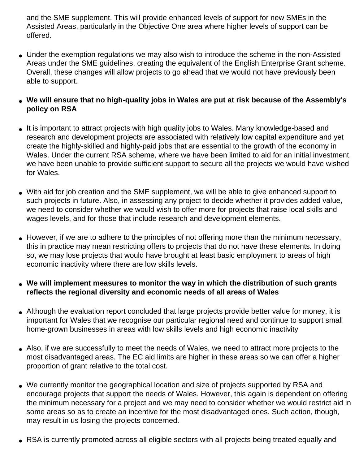and the SME supplement. This will provide enhanced levels of support for new SMEs in the Assisted Areas, particularly in the Objective One area where higher levels of support can be offered.

- Under the exemption regulations we may also wish to introduce the scheme in the non-Assisted Areas under the SME guidelines, creating the equivalent of the English Enterprise Grant scheme. Overall, these changes will allow projects to go ahead that we would not have previously been able to support.
- **We will ensure that no high-quality jobs in Wales are put at risk because of the Assembly's policy on RSA**
- It is important to attract projects with high quality jobs to Wales. Many knowledge-based and research and development projects are associated with relatively low capital expenditure and yet create the highly-skilled and highly-paid jobs that are essential to the growth of the economy in Wales. Under the current RSA scheme, where we have been limited to aid for an initial investment, we have been unable to provide sufficient support to secure all the projects we would have wished for Wales.
- With aid for job creation and the SME supplement, we will be able to give enhanced support to such projects in future. Also, in assessing any project to decide whether it provides added value, we need to consider whether we would wish to offer more for projects that raise local skills and wages levels, and for those that include research and development elements.
- However, if we are to adhere to the principles of not offering more than the minimum necessary, this in practice may mean restricting offers to projects that do not have these elements. In doing so, we may lose projects that would have brought at least basic employment to areas of high economic inactivity where there are low skills levels.
- **We will implement measures to monitor the way in which the distribution of such grants reflects the regional diversity and economic needs of all areas of Wales**
- Although the evaluation report concluded that large projects provide better value for money, it is important for Wales that we recognise our particular regional need and continue to support small home-grown businesses in areas with low skills levels and high economic inactivity
- Also, if we are successfully to meet the needs of Wales, we need to attract more projects to the most disadvantaged areas. The EC aid limits are higher in these areas so we can offer a higher proportion of grant relative to the total cost.
- We currently monitor the geographical location and size of projects supported by RSA and encourage projects that support the needs of Wales. However, this again is dependent on offering the minimum necessary for a project and we may need to consider whether we would restrict aid in some areas so as to create an incentive for the most disadvantaged ones. Such action, though, may result in us losing the projects concerned.
- RSA is currently promoted across all eligible sectors with all projects being treated equally and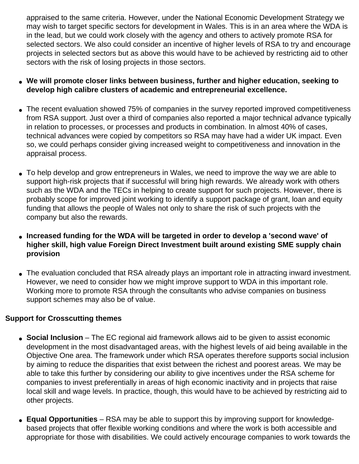appraised to the same criteria. However, under the National Economic Development Strategy we may wish to target specific sectors for development in Wales. This is in an area where the WDA is in the lead, but we could work closely with the agency and others to actively promote RSA for selected sectors. We also could consider an incentive of higher levels of RSA to try and encourage projects in selected sectors but as above this would have to be achieved by restricting aid to other sectors with the risk of losing projects in those sectors.

- We will promote closer links between business, further and higher education, seeking to **develop high calibre clusters of academic and entrepreneurial excellence.**
- The recent evaluation showed 75% of companies in the survey reported improved competitiveness from RSA support. Just over a third of companies also reported a major technical advance typically in relation to processes, or processes and products in combination. In almost 40% of cases, technical advances were copied by competitors so RSA may have had a wider UK impact. Even so, we could perhaps consider giving increased weight to competitiveness and innovation in the appraisal process.
- To help develop and grow entrepreneurs in Wales, we need to improve the way we are able to support high-risk projects that if successful will bring high rewards. We already work with others such as the WDA and the TECs in helping to create support for such projects. However, there is probably scope for improved joint working to identify a support package of grant, loan and equity funding that allows the people of Wales not only to share the risk of such projects with the company but also the rewards.
- **Increased funding for the WDA will be targeted in order to develop a 'second wave' of higher skill, high value Foreign Direct Investment built around existing SME supply chain provision**
- The evaluation concluded that RSA already plays an important role in attracting inward investment. However, we need to consider how we might improve support to WDA in this important role. Working more to promote RSA through the consultants who advise companies on business support schemes may also be of value.

### **Support for Crosscutting themes**

- **Social Inclusion** The EC regional aid framework allows aid to be given to assist economic development in the most disadvantaged areas, with the highest levels of aid being available in the Objective One area. The framework under which RSA operates therefore supports social inclusion by aiming to reduce the disparities that exist between the richest and poorest areas. We may be able to take this further by considering our ability to give incentives under the RSA scheme for companies to invest preferentially in areas of high economic inactivity and in projects that raise local skill and wage levels. In practice, though, this would have to be achieved by restricting aid to other projects.
- **Equal Opportunities** RSA may be able to support this by improving support for knowledgebased projects that offer flexible working conditions and where the work is both accessible and appropriate for those with disabilities. We could actively encourage companies to work towards the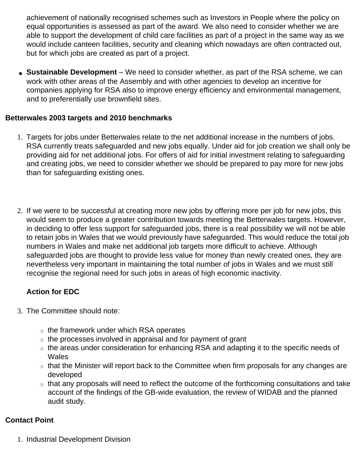achievement of nationally recognised schemes such as Investors in People where the policy on equal opportunities is assessed as part of the award. We also need to consider whether we are able to support the development of child care facilities as part of a project in the same way as we would include canteen facilities, security and cleaning which nowadays are often contracted out, but for which jobs are created as part of a project.

● **Sustainable Development** – We need to consider whether, as part of the RSA scheme, we can work with other areas of the Assembly and with other agencies to develop an incentive for companies applying for RSA also to improve energy efficiency and environmental management, and to preferentially use brownfield sites.

### **Betterwales 2003 targets and 2010 benchmarks**

- 1. Targets for jobs under Betterwales relate to the net additional increase in the numbers of jobs. RSA currently treats safeguarded and new jobs equally. Under aid for job creation we shall only be providing aid for net additional jobs. For offers of aid for initial investment relating to safeguarding and creating jobs, we need to consider whether we should be prepared to pay more for new jobs than for safeguarding existing ones.
- 2. If we were to be successful at creating more new jobs by offering more per job for new jobs, this would seem to produce a greater contribution towards meeting the Betterwales targets. However, in deciding to offer less support for safeguarded jobs, there is a real possibility we will not be able to retain jobs in Wales that we would previously have safeguarded. This would reduce the total job numbers in Wales and make net additional job targets more difficult to achieve. Although safeguarded jobs are thought to provide less value for money than newly created ones, they are nevertheless very important in maintaining the total number of jobs in Wales and we must still recognise the regional need for such jobs in areas of high economic inactivity.

### **Action for EDC**

- 3. The Committee should note:
	- $\circ$  the framework under which RSA operates
	- $\circ$  the processes involved in appraisal and for payment of grant
	- ❍ the areas under consideration for enhancing RSA and adapting it to the specific needs of Wales
	- that the Minister will report back to the Committee when firm proposals for any changes are developed
	- $\circ$  that any proposals will need to reflect the outcome of the forthcoming consultations and take account of the findings of the GB-wide evaluation, the review of WIDAB and the planned audit study.

#### **Contact Point**

1. Industrial Development Division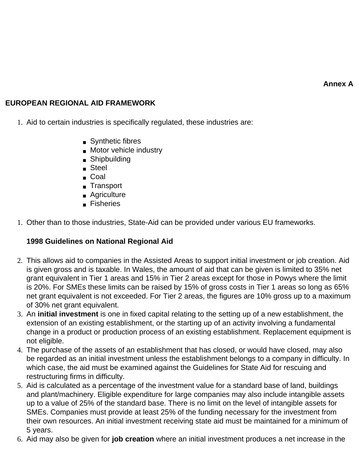**Annex A**

### **EUROPEAN REGIONAL AID FRAMEWORK**

- 1. Aid to certain industries is specifically regulated, these industries are:
	- Synthetic fibres
	- Motor vehicle industry
	- Shipbuilding
	- Steel
	- Coal
	- Transport
	- Agriculture
	- Fisheries
- 1. Other than to those industries, State-Aid can be provided under various EU frameworks.

### **1998 Guidelines on National Regional Aid**

- 2. This allows aid to companies in the Assisted Areas to support initial investment or job creation. Aid is given gross and is taxable. In Wales, the amount of aid that can be given is limited to 35% net grant equivalent in Tier 1 areas and 15% in Tier 2 areas except for those in Powys where the limit is 20%. For SMEs these limits can be raised by 15% of gross costs in Tier 1 areas so long as 65% net grant equivalent is not exceeded. For Tier 2 areas, the figures are 10% gross up to a maximum of 30% net grant equivalent.
- 3. An **initial investment** is one in fixed capital relating to the setting up of a new establishment, the extension of an existing establishment, or the starting up of an activity involving a fundamental change in a product or production process of an existing establishment. Replacement equipment is not eligible.
- 4. The purchase of the assets of an establishment that has closed, or would have closed, may also be regarded as an initial investment unless the establishment belongs to a company in difficulty. In which case, the aid must be examined against the Guidelines for State Aid for rescuing and restructuring firms in difficulty.
- 5. Aid is calculated as a percentage of the investment value for a standard base of land, buildings and plant/machinery. Eligible expenditure for large companies may also include intangible assets up to a value of 25% of the standard base. There is no limit on the level of intangible assets for SMEs. Companies must provide at least 25% of the funding necessary for the investment from their own resources. An initial investment receiving state aid must be maintained for a minimum of 5 years.
- 6. Aid may also be given for **job creation** where an initial investment produces a net increase in the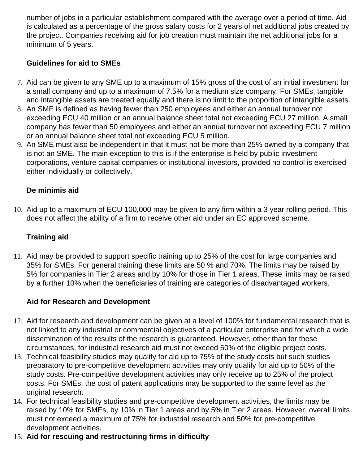number of jobs in a particular establishment compared with the average over a period of time. Aid is calculated as a percentage of the gross salary costs for 2 years of net additional jobs created by the project. Companies receiving aid for job creation must maintain the net additional jobs for a minimum of 5 years.

# **Guidelines for aid to SMEs**

- 7. Aid can be given to any SME up to a maximum of 15% gross of the cost of an initial investment for a small company and up to a maximum of 7.5% for a medium size company. For SMEs, tangible and intangible assets are treated equally and there is no limit to the proportion of intangible assets.
- 8. An SME is defined as having fewer than 250 employees and either an annual turnover not exceeding ECU 40 million or an annual balance sheet total not exceeding ECU 27 million. A small company has fewer than 50 employees and either an annual turnover not exceeding ECU 7 million or an annual balance sheet total not exceeding ECU 5 million.
- 9. An SME must also be independent in that it must not be more than 25% owned by a company that is not an SME. The main exception to this is if the enterprise is held by public investment corporations, venture capital companies or institutional investors, provided no control is exercised either individually or collectively.

## **De minimis aid**

10. Aid up to a maximum of ECU 100,000 may be given to any firm within a 3 year rolling period. This does not affect the ability of a firm to receive other aid under an EC approved scheme.

### **Training aid**

11. Aid may be provided to support specific training up to 25% of the cost for large companies and 35% for SMEs. For general training these limits are 50 % and 70%. The limits may be raised by 5% for companies in Tier 2 areas and by 10% for those in Tier 1 areas. These limits may be raised by a further 10% when the beneficiaries of training are categories of disadvantaged workers.

# **Aid for Research and Development**

- 12. Aid for research and development can be given at a level of 100% for fundamental research that is not linked to any industrial or commercial objectives of a particular enterprise and for which a wide dissemination of the results of the research is guaranteed. However, other than for these circumstances, for industrial research aid must not exceed 50% of the eligible project costs.
- 13. Technical feasibility studies may qualify for aid up to 75% of the study costs but such studies preparatory to pre-competitive development activities may only qualify for aid up to 50% of the study costs. Pre-competitive development activities may only receive up to 25% of the project costs. For SMEs, the cost of patent applications may be supported to the same level as the original research.
- 14. For technical feasibility studies and pre-competitive development activities, the limits may be raised by 10% for SMEs, by 10% in Tier 1 areas and by 5% in Tier 2 areas. However, overall limits must not exceed a maximum of 75% for industrial research and 50% for pre-competitive development activities.
- 15. **Aid for rescuing and restructuring firms in difficulty**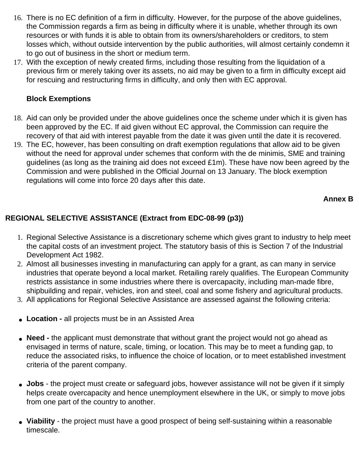- 16. There is no EC definition of a firm in difficulty. However, for the purpose of the above guidelines, the Commission regards a firm as being in difficulty where it is unable, whether through its own resources or with funds it is able to obtain from its owners/shareholders or creditors, to stem losses which, without outside intervention by the public authorities, will almost certainly condemn it to go out of business in the short or medium term.
- 17. With the exception of newly created firms, including those resulting from the liquidation of a previous firm or merely taking over its assets, no aid may be given to a firm in difficulty except aid for rescuing and restructuring firms in difficulty, and only then with EC approval.

### **Block Exemptions**

- 18. Aid can only be provided under the above guidelines once the scheme under which it is given has been approved by the EC. If aid given without EC approval, the Commission can require the recovery of that aid with interest payable from the date it was given until the date it is recovered.
- 19. The EC, however, has been consulting on draft exemption regulations that allow aid to be given without the need for approval under schemes that conform with the de minimis, SME and training guidelines (as long as the training aid does not exceed £1m). These have now been agreed by the Commission and were published in the Official Journal on 13 January. The block exemption regulations will come into force 20 days after this date.

## **Annex B**

# **REGIONAL SELECTIVE ASSISTANCE (Extract from EDC-08-99 (p3))**

- 1. Regional Selective Assistance is a discretionary scheme which gives grant to industry to help meet the capital costs of an investment project. The statutory basis of this is Section 7 of the Industrial Development Act 1982.
- 2. Almost all businesses investing in manufacturing can apply for a grant, as can many in service industries that operate beyond a local market. Retailing rarely qualifies. The European Community restricts assistance in some industries where there is overcapacity, including man-made fibre, shipbuilding and repair, vehicles, iron and steel, coal and some fishery and agricultural products.
- 3. All applications for Regional Selective Assistance are assessed against the following criteria:
- Location all projects must be in an Assisted Area
- **Need** the applicant must demonstrate that without grant the project would not go ahead as envisaged in terms of nature, scale, timing, or location. This may be to meet a funding gap, to reduce the associated risks, to influence the choice of location, or to meet established investment criteria of the parent company.
- **Jobs** the project must create or safeguard jobs, however assistance will not be given if it simply helps create overcapacity and hence unemployment elsewhere in the UK, or simply to move jobs from one part of the country to another.
- Viability the project must have a good prospect of being self-sustaining within a reasonable timescale.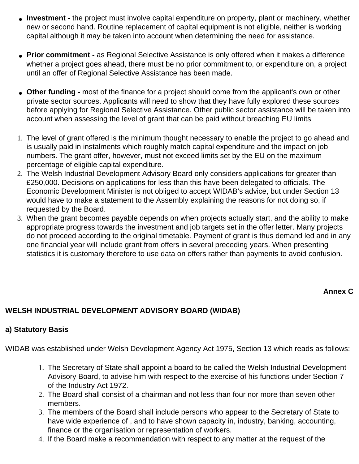- **Investment** the project must involve capital expenditure on property, plant or machinery, whether new or second hand. Routine replacement of capital equipment is not eligible, neither is working capital although it may be taken into account when determining the need for assistance.
- Prior commitment as Regional Selective Assistance is only offered when it makes a difference whether a project goes ahead, there must be no prior commitment to, or expenditure on, a project until an offer of Regional Selective Assistance has been made.
- Other funding most of the finance for a project should come from the applicant's own or other private sector sources. Applicants will need to show that they have fully explored these sources before applying for Regional Selective Assistance. Other public sector assistance will be taken into account when assessing the level of grant that can be paid without breaching EU limits
- 1. The level of grant offered is the minimum thought necessary to enable the project to go ahead and is usually paid in instalments which roughly match capital expenditure and the impact on job numbers. The grant offer, however, must not exceed limits set by the EU on the maximum percentage of eligible capital expenditure.
- 2. The Welsh Industrial Development Advisory Board only considers applications for greater than £250,000. Decisions on applications for less than this have been delegated to officials. The Economic Development Minister is not obliged to accept WIDAB's advice, but under Section 13 would have to make a statement to the Assembly explaining the reasons for not doing so, if requested by the Board.
- 3. When the grant becomes payable depends on when projects actually start, and the ability to make appropriate progress towards the investment and job targets set in the offer letter. Many projects do not proceed according to the original timetable. Payment of grant is thus demand led and in any one financial year will include grant from offers in several preceding years. When presenting statistics it is customary therefore to use data on offers rather than payments to avoid confusion.

#### **Annex C**

### **WELSH INDUSTRIAL DEVELOPMENT ADVISORY BOARD (WIDAB)**

#### **a) Statutory Basis**

WIDAB was established under Welsh Development Agency Act 1975, Section 13 which reads as follows:

- 1. The Secretary of State shall appoint a board to be called the Welsh Industrial Development Advisory Board, to advise him with respect to the exercise of his functions under Section 7 of the Industry Act 1972.
- 2. The Board shall consist of a chairman and not less than four nor more than seven other members.
- 3. The members of the Board shall include persons who appear to the Secretary of State to have wide experience of , and to have shown capacity in, industry, banking, accounting, finance or the organisation or representation of workers.
- 4. If the Board make a recommendation with respect to any matter at the request of the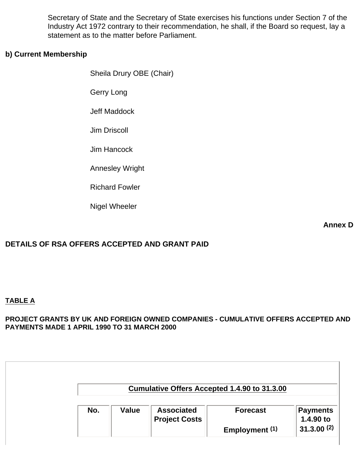Secretary of State and the Secretary of State exercises his functions under Section 7 of the Industry Act 1972 contrary to their recommendation, he shall, if the Board so request, lay a statement as to the matter before Parliament.

#### **b) Current Membership**

Sheila Drury OBE (Chair)

Gerry Long

Jeff Maddock

Jim Driscoll

Jim Hancock

Annesley Wright

Richard Fowler

Nigel Wheeler

**Annex D**

### **DETAILS OF RSA OFFERS ACCEPTED AND GRANT PAID**

#### **TABLE A**

**PROJECT GRANTS BY UK AND FOREIGN OWNED COMPANIES - CUMULATIVE OFFERS ACCEPTED AND PAYMENTS MADE 1 APRIL 1990 TO 31 MARCH 2000**

|     |              |                                           | Cumulative Offers Accepted 1.4.90 to 31.3.00 |                       |
|-----|--------------|-------------------------------------------|----------------------------------------------|-----------------------|
| No. | <b>Value</b> | <b>Associated</b><br><b>Project Costs</b> | <b>Forecast</b>                              | Payments<br>1.4.90 to |
|     |              |                                           | Employment (1)                               | 31.3.00(2)            |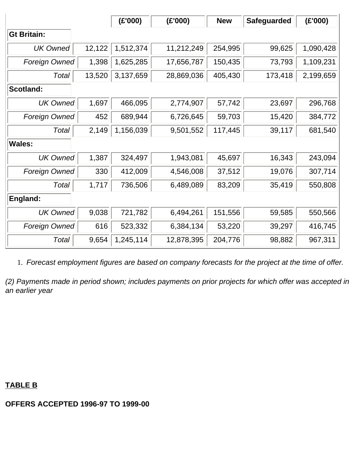|                      |        | (£'000)   | (E'000)    | <b>New</b> | <b>Safeguarded</b> | (E'000)   |  |
|----------------------|--------|-----------|------------|------------|--------------------|-----------|--|
| <b>Gt Britain:</b>   |        |           |            |            |                    |           |  |
| <b>UK Owned</b>      | 12,122 | 1,512,374 | 11,212,249 | 254,995    | 99,625             | 1,090,428 |  |
| Foreign Owned        | 1,398  | 1,625,285 | 17,656,787 | 150,435    | 73,793             | 1,109,231 |  |
| Total                | 13,520 | 3,137,659 | 28,869,036 | 405,430    | 173,418            | 2,199,659 |  |
| <b>Scotland:</b>     |        |           |            |            |                    |           |  |
| <b>UK Owned</b>      | 1,697  | 466,095   | 2,774,907  | 57,742     | 23,697             | 296,768   |  |
| <b>Foreign Owned</b> | 452    | 689,944   | 6,726,645  | 59,703     | 15,420             | 384,772   |  |
| Total                | 2,149  | 1,156,039 | 9,501,552  | 117,445    | 39,117             | 681,540   |  |
| <b>Wales:</b>        |        |           |            |            |                    |           |  |
| <b>UK Owned</b>      | 1,387  | 324,497   | 1,943,081  | 45,697     | 16,343             | 243,094   |  |
| <b>Foreign Owned</b> | 330    | 412,009   | 4,546,008  | 37,512     | 19,076             | 307,714   |  |
| Total                | 1,717  | 736,506   | 6,489,089  | 83,209     | 35,419             | 550,808   |  |
| England:             |        |           |            |            |                    |           |  |
| <b>UK Owned</b>      | 9,038  | 721,782   | 6,494,261  | 151,556    | 59,585             | 550,566   |  |
| Foreign Owned        | 616    | 523,332   | 6,384,134  | 53,220     | 39,297             | 416,745   |  |
| Total                | 9,654  | 1,245,114 | 12,878,395 | 204,776    | 98,882             | 967,311   |  |

1. *Forecast employment figures are based on company forecasts for the project at the time of offer.*

*(2) Payments made in period shown; includes payments on prior projects for which offer was accepted in an earlier year*

# **TABLE B**

#### **OFFERS ACCEPTED 1996-97 TO 1999-00**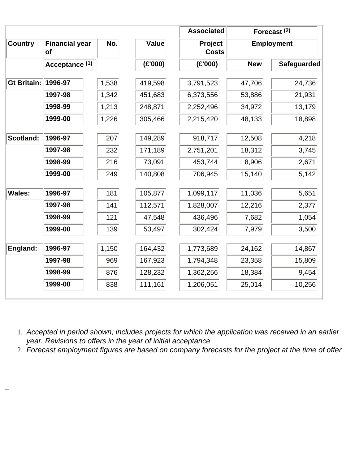|                    |                                    |       |              | <b>Associated</b>                            |            | Forecast <sup>(2)</sup> |
|--------------------|------------------------------------|-------|--------------|----------------------------------------------|------------|-------------------------|
| <b>Country</b>     | <b>Financial year</b><br><b>of</b> | No.   | <b>Value</b> | Project<br><b>Employment</b><br><b>Costs</b> |            |                         |
|                    | Acceptance (1)                     |       | (E'000)      | (E'000)                                      | <b>New</b> | Safeguarded             |
| <b>Gt Britain:</b> | 1996-97                            | 1,538 | 419,598      | 3,791,523                                    | 47,706     | 24,736                  |
|                    | 1997-98                            | 1,342 | 451,683      | 6,373,556                                    | 53,886     | 21,931                  |
|                    | 1998-99                            | 1,213 | 248,871      | 2,252,496                                    | 34,972     | 13,179                  |
|                    | 1999-00                            | 1,226 | 305,466      | 2,215,420                                    | 48,133     | 18,898                  |
| Scotland:          | 1996-97                            | 207   | 149,289      | 918,717                                      | 12,508     | 4,218                   |
|                    | 1997-98                            | 232   | 171,189      | 2,751,201                                    | 18,312     | 3,745                   |
|                    | 1998-99                            | 216   | 73,091       | 453,744                                      | 8,906      | 2,671                   |
|                    | 1999-00                            | 249   | 140,808      | 706,945                                      | 15,140     | 5,142                   |
| <b>Wales:</b>      | 1996-97                            | 181   | 105,877      | 1,099,117                                    | 11,036     | 5,651                   |
|                    | 1997-98                            | 141   | 112,571      | 1,828,007                                    | 12,216     | 2,377                   |
|                    | 1998-99                            | 121   | 47,548       | 436,496                                      | 7,682      | 1,054                   |
|                    | 1999-00                            | 139   | 53,497       | 302,424                                      | 7,979      | 3,500                   |
| England:           | 1996-97                            | 1,150 | 164,432      | 1,773,689                                    | 24,162     | 14,867                  |
|                    | 1997-98                            | 969   | 167,923      | 1,794,348                                    | 23,358     | 15,809                  |
|                    | 1998-99                            | 876   | 128,232      | 1,362,256                                    | 18,384     | 9,454                   |
|                    | 1999-00                            | 838   | 111,161      | 1,206,051                                    | 25,014     | 10,256                  |

1. *Accepted in period shown; includes projects for which the application was received in an earlier year. Revisions to offers in the year of initial acceptance*

2. *Forecast employment figures are based on company forecasts for the project at the time of offer*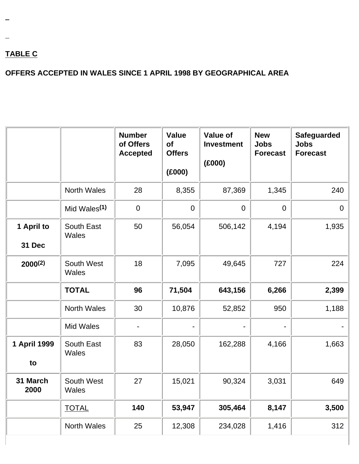# **TABLE C**

# **OFFERS ACCEPTED IN WALES SINCE 1 APRIL 1998 BY GEOGRAPHICAL AREA**

|                      |                            | <b>Number</b><br>of Offers<br><b>Accepted</b> | <b>Value</b><br>of<br><b>Offers</b><br>(E000) | <b>Value of</b><br><b>Investment</b><br>(E000) | <b>New</b><br><b>Jobs</b><br><b>Forecast</b> | <b>Safeguarded</b><br><b>Jobs</b><br><b>Forecast</b> |
|----------------------|----------------------------|-----------------------------------------------|-----------------------------------------------|------------------------------------------------|----------------------------------------------|------------------------------------------------------|
|                      | <b>North Wales</b>         | 28                                            | 8,355                                         | 87,369                                         | 1,345                                        | 240                                                  |
|                      | Mid Wales <sup>(1)</sup>   | $\mathbf 0$                                   | $\mathbf 0$                                   | $\overline{0}$                                 | $\mathbf 0$                                  | $\overline{0}$                                       |
| 1 April to<br>31 Dec | South East<br>Wales        | 50                                            | 56,054                                        | 506,142                                        | 4,194                                        | 1,935                                                |
| 2000(2)              | South West<br><b>Wales</b> | 18                                            | 7,095                                         | 49,645                                         | 727                                          | 224                                                  |
|                      | <b>TOTAL</b>               | 96                                            | 71,504                                        | 643,156                                        | 6,266                                        | 2,399                                                |
|                      | <b>North Wales</b>         | 30                                            | 10,876                                        | 52,852                                         | 950                                          | 1,188                                                |
|                      | <b>Mid Wales</b>           |                                               |                                               |                                                |                                              |                                                      |
| 1 April 1999<br>to   | <b>South East</b><br>Wales | 83                                            | 28,050                                        | 162,288                                        | 4,166                                        | 1,663                                                |
| 31 March<br>2000     | South West<br>Wales        | 27                                            | 15,021                                        | 90,324                                         | 3,031                                        | 649                                                  |
|                      | <b>TOTAL</b>               | 140                                           | 53,947                                        | 305,464                                        | 8,147                                        | 3,500                                                |
|                      | North Wales                | 25                                            | 12,308                                        | 234,028                                        | 1,416                                        | 312                                                  |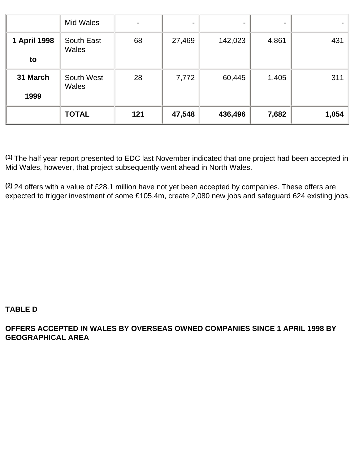|                    | Mid Wales           |     | ۰      | ٠       |       |       |
|--------------------|---------------------|-----|--------|---------|-------|-------|
| 1 April 1998<br>to | South East<br>Wales | 68  | 27,469 | 142,023 | 4,861 | 431   |
| 31 March<br>1999   | South West<br>Wales | 28  | 7,772  | 60,445  | 1,405 | 311   |
|                    | <b>TOTAL</b>        | 121 | 47,548 | 436,496 | 7,682 | 1,054 |

**(1)** The half year report presented to EDC last November indicated that one project had been accepted in Mid Wales, however, that project subsequently went ahead in North Wales.

**(2)** 24 offers with a value of £28.1 million have not yet been accepted by companies. These offers are expected to trigger investment of some £105.4m, create 2,080 new jobs and safeguard 624 existing jobs.

### **TABLE D**

**OFFERS ACCEPTED IN WALES BY OVERSEAS OWNED COMPANIES SINCE 1 APRIL 1998 BY GEOGRAPHICAL AREA**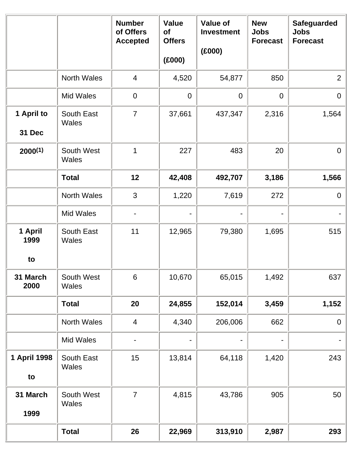|                  |                            | <b>Number</b><br>of Offers<br><b>Accepted</b> | <b>Value</b><br><b>of</b><br><b>Offers</b> | <b>Value of</b><br><b>Investment</b><br>(E000) | <b>New</b><br><b>Jobs</b><br><b>Forecast</b> | <b>Safeguarded</b><br><b>Jobs</b><br><b>Forecast</b> |
|------------------|----------------------------|-----------------------------------------------|--------------------------------------------|------------------------------------------------|----------------------------------------------|------------------------------------------------------|
|                  |                            |                                               | (000)                                      |                                                |                                              |                                                      |
|                  | <b>North Wales</b>         | $\overline{4}$                                | 4,520                                      | 54,877                                         | 850                                          | $\overline{2}$                                       |
|                  | Mid Wales                  | $\mathbf 0$                                   | $\mathbf 0$                                | $\overline{0}$                                 | $\mathbf 0$                                  | $\overline{0}$                                       |
| 1 April to       | South East<br>Wales        | $\overline{7}$                                | 37,661                                     | 437,347                                        | 2,316                                        | 1,564                                                |
| 31 Dec           |                            |                                               |                                            |                                                |                                              |                                                      |
| $2000^{(1)}$     | South West<br>Wales        | 1                                             | 227                                        | 483                                            | 20                                           | $\overline{0}$                                       |
|                  | <b>Total</b>               | 12                                            | 42,408                                     | 492,707                                        | 3,186                                        | 1,566                                                |
|                  | North Wales                | 3                                             | 1,220                                      | 7,619                                          | 272                                          | $\overline{0}$                                       |
|                  | <b>Mid Wales</b>           |                                               |                                            |                                                |                                              |                                                      |
| 1 April<br>1999  | South East<br>Wales        | 11                                            | 12,965                                     | 79,380                                         | 1,695                                        | 515                                                  |
| to               |                            |                                               |                                            |                                                |                                              |                                                      |
| 31 March<br>2000 | South West<br><b>Wales</b> | 6                                             | 10,670                                     | 65,015                                         | 1,492                                        | 637                                                  |
|                  | <b>Total</b>               | 20                                            | 24,855                                     | 152,014                                        | 3,459                                        | 1,152                                                |
|                  | North Wales                | $\overline{4}$                                | 4,340                                      | 206,006                                        | 662                                          | $\overline{0}$                                       |
|                  | Mid Wales                  |                                               |                                            |                                                |                                              |                                                      |
| 1 April 1998     | South East<br>Wales        | 15                                            | 13,814                                     | 64,118                                         | 1,420                                        | 243                                                  |
| to               |                            |                                               |                                            |                                                |                                              |                                                      |
| 31 March<br>1999 | South West<br>Wales        | $\overline{7}$                                | 4,815                                      | 43,786                                         | 905                                          | 50                                                   |
|                  | <b>Total</b>               | 26                                            | 22,969                                     | 313,910                                        | 2,987                                        | 293                                                  |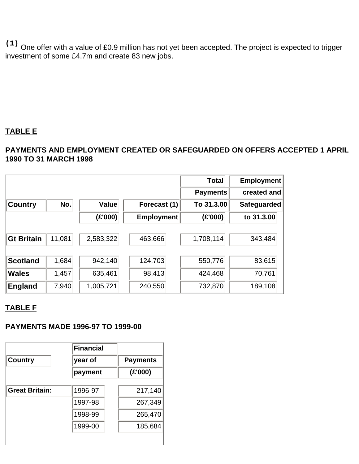**(1)** One offer with a value of £0.9 million has not yet been accepted. The project is expected to trigger investment of some £4.7m and create 83 new jobs.

# **TABLE E**

## **PAYMENTS AND EMPLOYMENT CREATED OR SAFEGUARDED ON OFFERS ACCEPTED 1 APRIL 1990 TO 31 MARCH 1998**

|                   |        |              |                   | <b>Total</b>    | <b>Employment</b>  |
|-------------------|--------|--------------|-------------------|-----------------|--------------------|
|                   |        |              |                   | <b>Payments</b> | created and        |
| <b>Country</b>    | No.    | <b>Value</b> | Forecast (1)      | To 31.3.00      | <b>Safeguarded</b> |
|                   |        | (E'000)      | <b>Employment</b> | (E'000)         | to 31.3.00         |
| <b>Gt Britain</b> | 11,081 | 2,583,322    | 463,666           | 1,708,114       | 343,484            |
| <b>Scotland</b>   | 1,684  | 942,140      | 124,703           | 550,776         | 83,615             |
| <b>Wales</b>      | 1,457  | 635,461      | 98,413            | 424,468         | 70,761             |
| <b>England</b>    | 7,940  | 1,005,721    | 240,550           | 732,870         | 189,108            |

# **TABLE F**

#### **PAYMENTS MADE 1996-97 TO 1999-00**

| <b>Financial</b> |                 |
|------------------|-----------------|
| year of          | <b>Payments</b> |
| payment          | (E'000)         |
| 1996-97          | 217,140         |
| 1997-98          | 267,349         |
| 1998-99          | 265,470         |
| 1999-00          | 185,684         |
|                  |                 |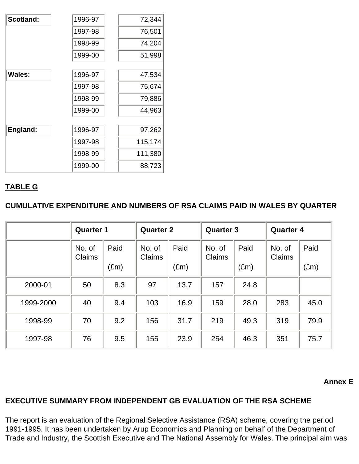| Scotland:     | 1996-97 | 72,344  |
|---------------|---------|---------|
|               | 1997-98 | 76,501  |
|               | 1998-99 | 74,204  |
|               | 1999-00 | 51,998  |
|               |         |         |
| <b>Wales:</b> | 1996-97 | 47,534  |
|               | 1997-98 | 75,674  |
|               | 1998-99 | 79,886  |
|               | 1999-00 | 44,963  |
|               |         |         |
| England:      | 1996-97 | 97,262  |
|               | 1997-98 | 115,174 |
|               | 1998-99 | 111,380 |
|               | 1999-00 | 88,723  |

# **TABLE G**

**CUMULATIVE EXPENDITURE AND NUMBERS OF RSA CLAIMS PAID IN WALES BY QUARTER**

|           | <b>Quarter 1</b> |                       | <b>Quarter 2</b> |                       | <b>Quarter 3</b> |                       | <b>Quarter 4</b> |                       |
|-----------|------------------|-----------------------|------------------|-----------------------|------------------|-----------------------|------------------|-----------------------|
|           | No. of<br>Claims | Paid<br>$(\text{Em})$ | No. of<br>Claims | Paid<br>$(\text{Em})$ | No. of<br>Claims | Paid<br>$(\text{Em})$ | No. of<br>Claims | Paid<br>$(\text{Em})$ |
| 2000-01   | 50               | 8.3                   | 97               | 13.7                  | 157              | 24.8                  |                  |                       |
|           |                  |                       |                  |                       |                  |                       |                  |                       |
| 1999-2000 | 40               | 9.4                   | 103              | 16.9                  | 159              | 28.0                  | 283              | 45.0                  |
| 1998-99   | 70               | 9.2                   | 156              | 31.7                  | 219              | 49.3                  | 319              | 79.9                  |
| 1997-98   | 76               | 9.5                   | 155              | 23.9                  | 254              | 46.3                  | 351              | 75.7                  |

#### **Annex E**

#### **EXECUTIVE SUMMARY FROM INDEPENDENT GB EVALUATION OF THE RSA SCHEME**

The report is an evaluation of the Regional Selective Assistance (RSA) scheme, covering the period 1991-1995. It has been undertaken by Arup Economics and Planning on behalf of the Department of Trade and Industry, the Scottish Executive and The National Assembly for Wales. The principal aim was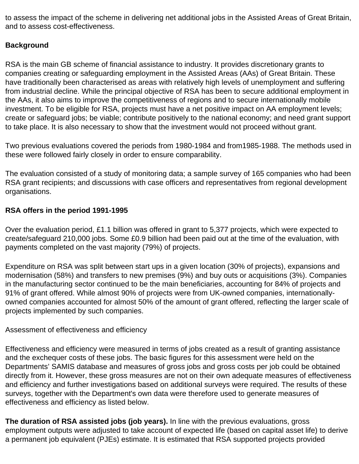to assess the impact of the scheme in delivering net additional jobs in the Assisted Areas of Great Britain, and to assess cost-effectiveness.

# **Background**

RSA is the main GB scheme of financial assistance to industry. It provides discretionary grants to companies creating or safeguarding employment in the Assisted Areas (AAs) of Great Britain. These have traditionally been characterised as areas with relatively high levels of unemployment and suffering from industrial decline. While the principal objective of RSA has been to secure additional employment in the AAs, it also aims to improve the competitiveness of regions and to secure internationally mobile investment. To be eligible for RSA, projects must have a net positive impact on AA employment levels; create or safeguard jobs; be viable; contribute positively to the national economy; and need grant support to take place. It is also necessary to show that the investment would not proceed without grant.

Two previous evaluations covered the periods from 1980-1984 and from1985-1988. The methods used in these were followed fairly closely in order to ensure comparability.

The evaluation consisted of a study of monitoring data; a sample survey of 165 companies who had been RSA grant recipients; and discussions with case officers and representatives from regional development organisations.

## **RSA offers in the period 1991-1995**

Over the evaluation period, £1.1 billion was offered in grant to 5,377 projects, which were expected to create/safeguard 210,000 jobs. Some £0.9 billion had been paid out at the time of the evaluation, with payments completed on the vast majority (79%) of projects.

Expenditure on RSA was split between start ups in a given location (30% of projects), expansions and modernisation (58%) and transfers to new premises (9%) and buy outs or acquisitions (3%). Companies in the manufacturing sector continued to be the main beneficiaries, accounting for 84% of projects and 91% of grant offered. While almost 90% of projects were from UK-owned companies, internationallyowned companies accounted for almost 50% of the amount of grant offered, reflecting the larger scale of projects implemented by such companies.

### Assessment of effectiveness and efficiency

Effectiveness and efficiency were measured in terms of jobs created as a result of granting assistance and the exchequer costs of these jobs. The basic figures for this assessment were held on the Departments' SAMIS database and measures of gross jobs and gross costs per job could be obtained directly from it. However, these gross measures are not on their own adequate measures of effectiveness and efficiency and further investigations based on additional surveys were required. The results of these surveys, together with the Department's own data were therefore used to generate measures of effectiveness and efficiency as listed below.

**The duration of RSA assisted jobs (job years).** In line with the previous evaluations, gross employment outputs were adjusted to take account of expected life (based on capital asset life) to derive a permanent job equivalent (PJEs) estimate. It is estimated that RSA supported projects provided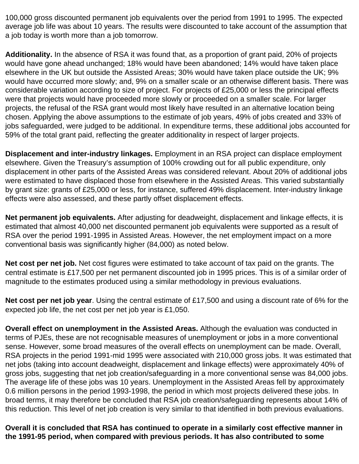100,000 gross discounted permanent job equivalents over the period from 1991 to 1995. The expected average job life was about 10 years. The results were discounted to take account of the assumption that a job today is worth more than a job tomorrow.

**Additionality.** In the absence of RSA it was found that, as a proportion of grant paid, 20% of projects would have gone ahead unchanged; 18% would have been abandoned; 14% would have taken place elsewhere in the UK but outside the Assisted Areas; 30% would have taken place outside the UK; 9% would have occurred more slowly; and, 9% on a smaller scale or an otherwise different basis. There was considerable variation according to size of project. For projects of £25,000 or less the principal effects were that projects would have proceeded more slowly or proceeded on a smaller scale. For larger projects, the refusal of the RSA grant would most likely have resulted in an alternative location being chosen. Applying the above assumptions to the estimate of job years, 49% of jobs created and 33% of jobs safeguarded, were judged to be additional. In expenditure terms, these additional jobs accounted for 59% of the total grant paid, reflecting the greater additionality in respect of larger projects.

**Displacement and inter-industry linkages.** Employment in an RSA project can displace employment elsewhere. Given the Treasury's assumption of 100% crowding out for all public expenditure, only displacement in other parts of the Assisted Areas was considered relevant. About 20% of additional jobs were estimated to have displaced those from elsewhere in the Assisted Areas. This varied substantially by grant size: grants of £25,000 or less, for instance, suffered 49% displacement. Inter-industry linkage effects were also assessed, and these partly offset displacement effects.

**Net permanent job equivalents.** After adjusting for deadweight, displacement and linkage effects, it is estimated that almost 40,000 net discounted permanent job equivalents were supported as a result of RSA over the period 1991-1995 in Assisted Areas. However, the net employment impact on a more conventional basis was significantly higher (84,000) as noted below.

**Net cost per net job.** Net cost figures were estimated to take account of tax paid on the grants. The central estimate is £17,500 per net permanent discounted job in 1995 prices. This is of a similar order of magnitude to the estimates produced using a similar methodology in previous evaluations.

**Net cost per net job year**. Using the central estimate of £17,500 and using a discount rate of 6% for the expected job life, the net cost per net job year is £1,050.

**Overall effect on unemployment in the Assisted Areas.** Although the evaluation was conducted in terms of PJEs, these are not recognisable measures of unemployment or jobs in a more conventional sense. However, some broad measures of the overall effects on unemployment can be made. Overall, RSA projects in the period 1991-mid 1995 were associated with 210,000 gross jobs. It was estimated that net jobs (taking into account deadweight, displacement and linkage effects) were approximately 40% of gross jobs, suggesting that net job creation/safeguarding in a more conventional sense was 84,000 jobs. The average life of these jobs was 10 years. Unemployment in the Assisted Areas fell by approximately 0.6 million persons in the period 1993-1998, the period in which most projects delivered these jobs. In broad terms, it may therefore be concluded that RSA job creation/safeguarding represents about 14% of this reduction. This level of net job creation is very similar to that identified in both previous evaluations.

**Overall it is concluded that RSA has continued to operate in a similarly cost effective manner in the 1991-95 period, when compared with previous periods. It has also contributed to some**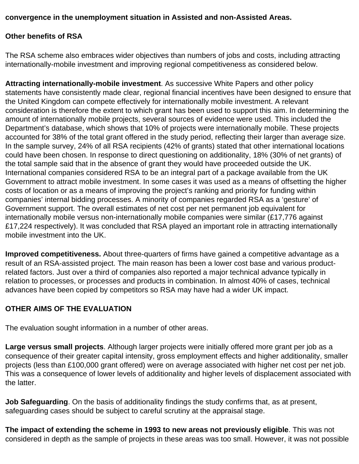## **convergence in the unemployment situation in Assisted and non-Assisted Areas.**

### **Other benefits of RSA**

The RSA scheme also embraces wider objectives than numbers of jobs and costs, including attracting internationally-mobile investment and improving regional competitiveness as considered below.

**Attracting internationally-mobile investment**. As successive White Papers and other policy statements have consistently made clear, regional financial incentives have been designed to ensure that the United Kingdom can compete effectively for internationally mobile investment. A relevant consideration is therefore the extent to which grant has been used to support this aim. In determining the amount of internationally mobile projects, several sources of evidence were used. This included the Department's database, which shows that 10% of projects were internationally mobile. These projects accounted for 38% of the total grant offered in the study period, reflecting their larger than average size. In the sample survey, 24% of all RSA recipients (42% of grants) stated that other international locations could have been chosen. In response to direct questioning on additionality, 18% (30% of net grants) of the total sample said that in the absence of grant they would have proceeded outside the UK. International companies considered RSA to be an integral part of a package available from the UK Government to attract mobile investment. In some cases it was used as a means of offsetting the higher costs of location or as a means of improving the project's ranking and priority for funding within companies' internal bidding processes. A minority of companies regarded RSA as a 'gesture' of Government support. The overall estimates of net cost per net permanent job equivalent for internationally mobile versus non-internationally mobile companies were similar (£17,776 against £17,224 respectively). It was concluded that RSA played an important role in attracting internationally mobile investment into the UK.

**Improved competitiveness.** About three-quarters of firms have gained a competitive advantage as a result of an RSA-assisted project. The main reason has been a lower cost base and various productrelated factors. Just over a third of companies also reported a major technical advance typically in relation to processes, or processes and products in combination. In almost 40% of cases, technical advances have been copied by competitors so RSA may have had a wider UK impact.

# **OTHER AIMS OF THE EVALUATION**

The evaluation sought information in a number of other areas.

**Large versus small projects**. Although larger projects were initially offered more grant per job as a consequence of their greater capital intensity, gross employment effects and higher additionality, smaller projects (less than £100,000 grant offered) were on average associated with higher net cost per net job. This was a consequence of lower levels of additionality and higher levels of displacement associated with the latter.

**Job Safeguarding**. On the basis of additionality findings the study confirms that, as at present, safeguarding cases should be subject to careful scrutiny at the appraisal stage.

**The impact of extending the scheme in 1993 to new areas not previously eligible**. This was not considered in depth as the sample of projects in these areas was too small. However, it was not possible